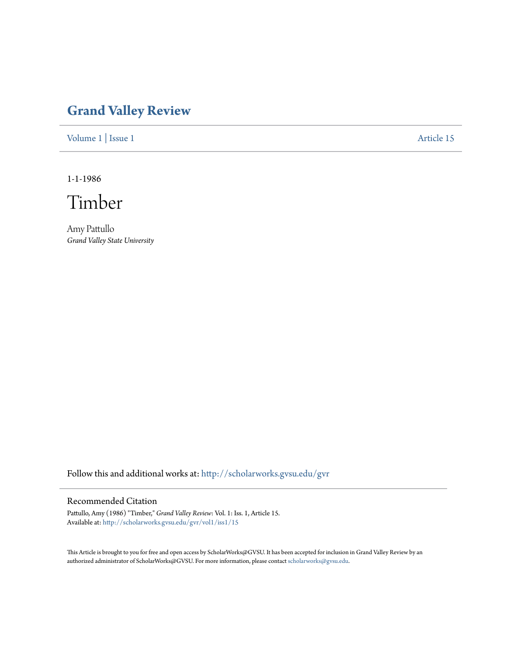## **[Grand Valley Review](http://scholarworks.gvsu.edu/gvr?utm_source=scholarworks.gvsu.edu%2Fgvr%2Fvol1%2Fiss1%2F15&utm_medium=PDF&utm_campaign=PDFCoverPages)**

[Volume 1](http://scholarworks.gvsu.edu/gvr/vol1?utm_source=scholarworks.gvsu.edu%2Fgvr%2Fvol1%2Fiss1%2F15&utm_medium=PDF&utm_campaign=PDFCoverPages) | [Issue 1](http://scholarworks.gvsu.edu/gvr/vol1/iss1?utm_source=scholarworks.gvsu.edu%2Fgvr%2Fvol1%2Fiss1%2F15&utm_medium=PDF&utm_campaign=PDFCoverPages) [Article 15](http://scholarworks.gvsu.edu/gvr/vol1/iss1/15?utm_source=scholarworks.gvsu.edu%2Fgvr%2Fvol1%2Fiss1%2F15&utm_medium=PDF&utm_campaign=PDFCoverPages)

1-1-1986

Timber

Amy Pattullo *Grand Valley State University*

Follow this and additional works at: [http://scholarworks.gvsu.edu/gvr](http://scholarworks.gvsu.edu/gvr?utm_source=scholarworks.gvsu.edu%2Fgvr%2Fvol1%2Fiss1%2F15&utm_medium=PDF&utm_campaign=PDFCoverPages)

## Recommended Citation

Pattullo, Amy (1986) "Timber," *Grand Valley Review*: Vol. 1: Iss. 1, Article 15. Available at: [http://scholarworks.gvsu.edu/gvr/vol1/iss1/15](http://scholarworks.gvsu.edu/gvr/vol1/iss1/15?utm_source=scholarworks.gvsu.edu%2Fgvr%2Fvol1%2Fiss1%2F15&utm_medium=PDF&utm_campaign=PDFCoverPages)

This Article is brought to you for free and open access by ScholarWorks@GVSU. It has been accepted for inclusion in Grand Valley Review by an authorized administrator of ScholarWorks@GVSU. For more information, please contact [scholarworks@gvsu.edu.](mailto:scholarworks@gvsu.edu)